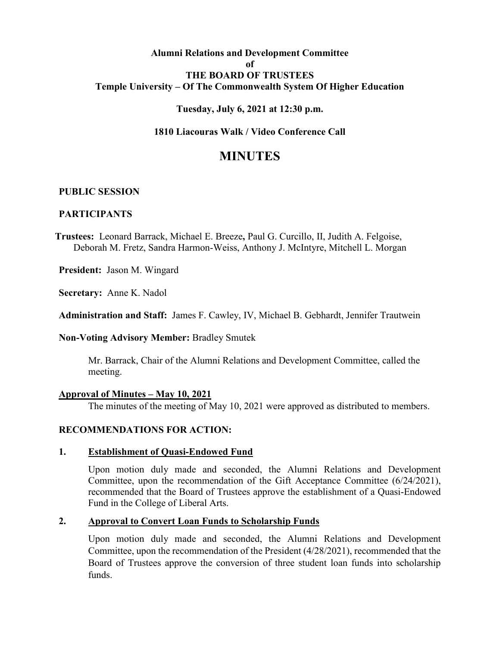## **Alumni Relations and Development Committee of THE BOARD OF TRUSTEES Temple University – Of The Commonwealth System Of Higher Education**

## **Tuesday, July 6, 2021 at 12:30 p.m.**

## **1810 Liacouras Walk / Video Conference Call**

# **MINUTES**

#### **PUBLIC SESSION**

#### **PARTICIPANTS**

**Trustees:** Leonard Barrack, Michael E. Breeze**,** Paul G. Curcillo, II, Judith A. Felgoise, Deborah M. Fretz, Sandra Harmon-Weiss, Anthony J. McIntyre, Mitchell L. Morgan

**President:** Jason M. Wingard

**Secretary:** Anne K. Nadol

**Administration and Staff:** James F. Cawley, IV, Michael B. Gebhardt, Jennifer Trautwein

**Non-Voting Advisory Member:** Bradley Smutek

Mr. Barrack, Chair of the Alumni Relations and Development Committee, called the meeting.

#### **Approval of Minutes – May 10, 2021**

The minutes of the meeting of May 10, 2021 were approved as distributed to members.

## **RECOMMENDATIONS FOR ACTION:**

#### **1. Establishment of Quasi-Endowed Fund**

Upon motion duly made and seconded, the Alumni Relations and Development Committee, upon the recommendation of the Gift Acceptance Committee (6/24/2021), recommended that the Board of Trustees approve the establishment of a Quasi-Endowed Fund in the College of Liberal Arts.

## **2. Approval to Convert Loan Funds to Scholarship Funds**

Upon motion duly made and seconded, the Alumni Relations and Development Committee, upon the recommendation of the President (4/28/2021), recommended that the Board of Trustees approve the conversion of three student loan funds into scholarship funds.